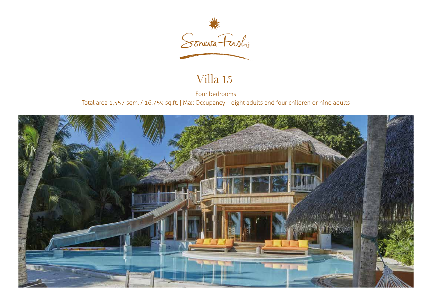

## Villa 15

Four bedrooms Total area 1,557 sqm. / 16,759 sq.ft. | Max Occupancy – eight adults and four children or nine adults

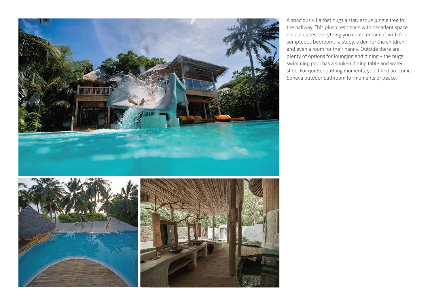

A spacious villa that hugs a statuesque jungle tree in the hallway. This plush residence with decadent space encapsulates everything you could dream of, with four sumptuous bedrooms, a study, a den for the children, and even a room for their nanny. Outside there are plenty of options for lounging and dining – the huge swimming pool has a sunken dining table and water slide. For quieter bathing moments, you'll find an iconic Soneva outdoor bathroom for moments of peace.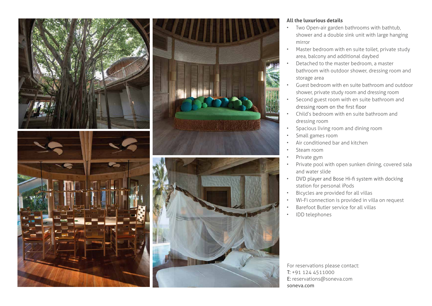

## **All the luxurious details**

- Two Open-air garden bathrooms with bathtub, shower and a double sink unit with large hanging mirror
- Master bedroom with en suite toilet, private study area, balcony and additional daybed
- Detached to the master bedroom, a master bathroom with outdoor shower, dressing room and storage area
- Guest bedroom with en suite bathroom and outdoor shower, private study room and dressing room
- Second guest room with en suite bathroom and dressing room on the first floor
- Child's bedroom with en suite bathroom and dressing room
- Spacious living room and dining room
- Small games room
- Air conditioned bar and kitchen
- Steam room
- Private gym
- Private pool with open sunken dining, covered sala and water slide
- DVD player and Bose Hi-fi system with docking • station for personal iPods
- Bicycles are provided for all villas
- Wi-Fi connection is provided in villa on request
- Barefoot Butler service for all villas
- IDD telephones

For reservations please contact: T: +91 124 4511000 E: reservations@soneva.com soneva.com